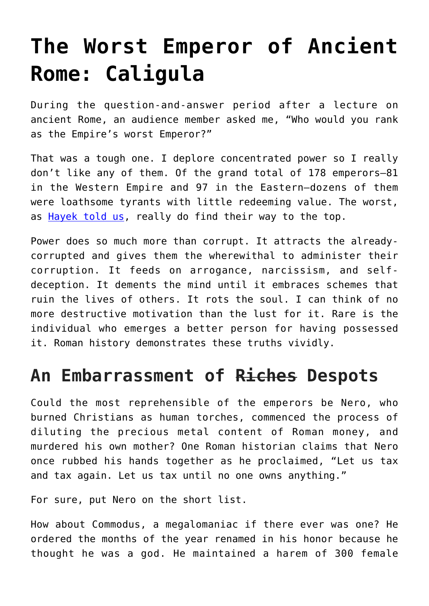## **[The Worst Emperor of Ancient](https://intellectualtakeout.org/2018/08/the-worst-emperor-of-ancient-rome-caligula/) [Rome: Caligula](https://intellectualtakeout.org/2018/08/the-worst-emperor-of-ancient-rome-caligula/)**

During the question-and-answer period after a lecture on ancient Rome, an audience member asked me, "Who would you rank as the Empire's worst Emperor?"

That was a tough one. I deplore concentrated power so I really don't like any of them. Of the grand total of 178 emperors—81 in the Western Empire and 97 in the Eastern—dozens of them were loathsome tyrants with little redeeming value. The worst, as [Hayek told us,](https://fee.org/articles/hayek-was-right-the-worst-do-get-to-the-top/) really do find their way to the top.

Power does so much more than corrupt. It attracts the alreadycorrupted and gives them the wherewithal to administer their corruption. It feeds on arrogance, narcissism, and selfdeception. It dements the mind until it embraces schemes that ruin the lives of others. It rots the soul. I can think of no more destructive motivation than the lust for it. Rare is the individual who emerges a better person for having possessed it. Roman history demonstrates these truths vividly.

## **An Embarrassment of Riches Despots**

Could the most reprehensible of the emperors be Nero, who burned Christians as human torches, commenced the process of diluting the precious metal content of Roman money, and murdered his own mother? One Roman historian claims that Nero once rubbed his hands together as he proclaimed, "Let us tax and tax again. Let us tax until no one owns anything."

For sure, put Nero on the short list.

How about Commodus, a megalomaniac if there ever was one? He ordered the months of the year renamed in his honor because he thought he was a god. He maintained a harem of 300 female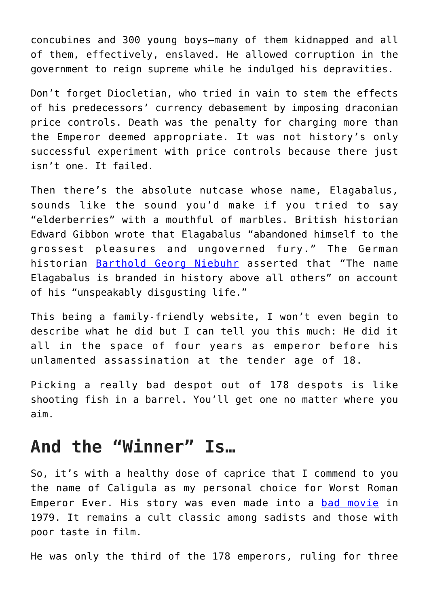concubines and 300 young boys—many of them kidnapped and all of them, effectively, enslaved. He allowed corruption in the government to reign supreme while he indulged his depravities.

Don't forget Diocletian, who tried in vain to stem the effects of his predecessors' currency debasement by imposing draconian price controls. Death was the penalty for charging more than the Emperor deemed appropriate. It was not history's only successful experiment with price controls because there just isn't one. It failed.

Then there's the absolute nutcase whose name, Elagabalus, sounds like the sound you'd make if you tried to say "elderberries" with a mouthful of marbles. British historian Edward Gibbon wrote that Elagabalus "abandoned himself to the grossest pleasures and ungoverned fury." The German historian [Barthold Georg Niebuhr](https://en.wikipedia.org/wiki/Barthold_Georg_Niebuhr) asserted that "The name Elagabalus is branded in history above all others" on account of his "unspeakably disgusting life."

This being a family-friendly website, I won't even begin to describe what he did but I can tell you this much: He did it all in the space of four years as emperor before his unlamented assassination at the tender age of 18.

Picking a really bad despot out of 178 despots is like shooting fish in a barrel. You'll get one no matter where you aim.

## **And the "Winner" Is…**

So, it's with a healthy dose of caprice that I commend to you the name of Caligula as my personal choice for Worst Roman Emperor Ever. His story was even made into a [bad movie](https://www.imdb.com/title/tt0080491/?ref_=nv_sr_1) in 1979. It remains a cult classic among sadists and those with poor taste in film.

He was only the third of the 178 emperors, ruling for three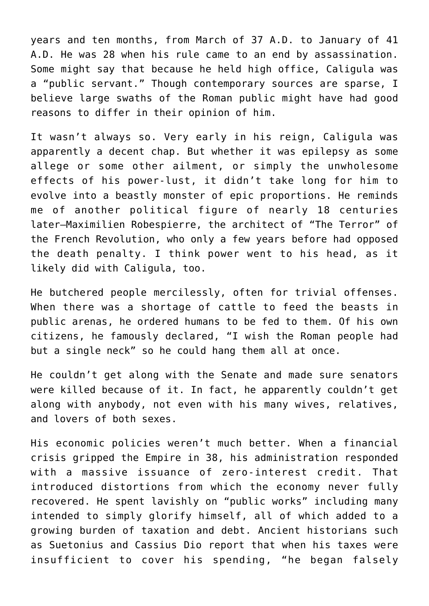years and ten months, from March of 37 A.D. to January of 41 A.D. He was 28 when his rule came to an end by assassination. Some might say that because he held high office, Caligula was a "public servant." Though contemporary sources are sparse, I believe large swaths of the Roman public might have had good reasons to differ in their opinion of him.

It wasn't always so. Very early in his reign, Caligula was apparently a decent chap. But whether it was epilepsy as some allege or some other ailment, or simply the unwholesome effects of his power-lust, it didn't take long for him to evolve into a beastly monster of epic proportions. He reminds me of another political figure of nearly 18 centuries later—Maximilien Robespierre, the architect of "The Terror" of the French Revolution, who only a few years before had opposed the death penalty. I think power went to his head, as it likely did with Caligula, too.

He butchered people mercilessly, often for trivial offenses. When there was a shortage of cattle to feed the beasts in public arenas, he ordered humans to be fed to them. Of his own citizens, he famously declared, "I wish the Roman people had but a single neck" so he could hang them all at once.

He couldn't get along with the Senate and made sure senators were killed because of it. In fact, he apparently couldn't get along with anybody, not even with his many wives, relatives, and lovers of both sexes.

His economic policies weren't much better. When a financial crisis gripped the Empire in 38, his administration responded with a massive issuance of zero-interest credit. That introduced distortions from which the economy never fully recovered. He spent lavishly on "public works" including many intended to simply glorify himself, all of which added to a growing burden of taxation and debt. Ancient historians such as Suetonius and Cassius Dio report that when his taxes were insufficient to cover his spending, "he began falsely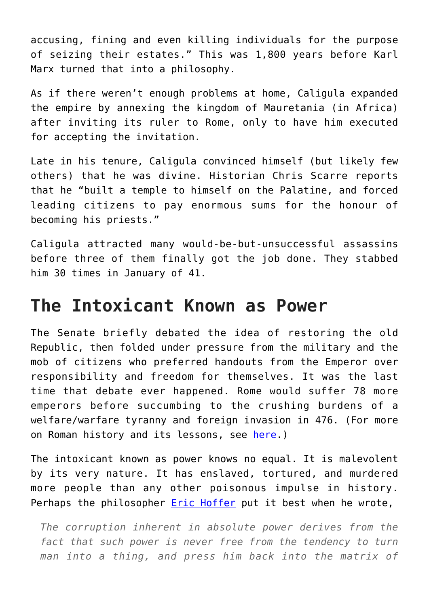accusing, fining and even killing individuals for the purpose of seizing their estates." This was 1,800 years before Karl Marx turned that into a philosophy.

As if there weren't enough problems at home, Caligula expanded the empire by annexing the kingdom of Mauretania (in Africa) after inviting its ruler to Rome, only to have him executed for accepting the invitation.

Late in his tenure, Caligula convinced himself (but likely few others) that he was divine. Historian Chris Scarre reports that he "built a temple to himself on the Palatine, and forced leading citizens to pay enormous sums for the honour of becoming his priests."

Caligula attracted many would-be-but-unsuccessful assassins before three of them finally got the job done. They stabbed him 30 times in January of 41.

## **The Intoxicant Known as Power**

The Senate briefly debated the idea of restoring the old Republic, then folded under pressure from the military and the mob of citizens who preferred handouts from the Emperor over responsibility and freedom for themselves. It was the last time that debate ever happened. Rome would suffer 78 more emperors before succumbing to the crushing burdens of a welfare/warfare tyranny and foreign invasion in 476. (For more on Roman history and its lessons, see [here.](http://www.fee.org/rome))

The intoxicant known as power knows no equal. It is malevolent by its very nature. It has enslaved, tortured, and murdered more people than any other poisonous impulse in history. Perhaps the philosopher **Eric Hoffer** put it best when he wrote,

*The corruption inherent in absolute power derives from the fact that such power is never free from the tendency to turn man into a thing, and press him back into the matrix of*